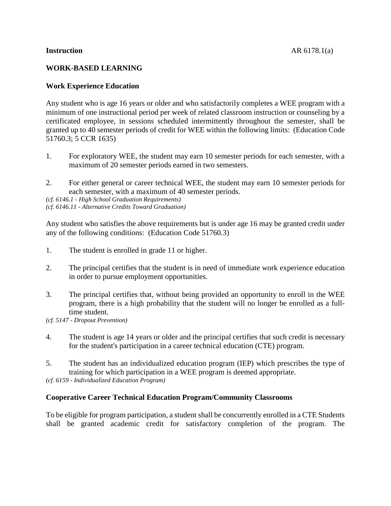## **WORK-BASED LEARNING**

# **Work Experience Education**

Any student who is age 16 years or older and who satisfactorily completes a WEE program with a minimum of one instructional period per week of related classroom instruction or counseling by a certificated employee, in sessions scheduled intermittently throughout the semester, shall be granted up to 40 semester periods of credit for WEE within the following limits: (Education Code 51760.3; 5 CCR 1635)

- 1. For exploratory WEE, the student may earn 10 semester periods for each semester, with a maximum of 20 semester periods earned in two semesters.
- 2. For either general or career technical WEE, the student may earn 10 semester periods for each semester, with a maximum of 40 semester periods.

*(cf. 6146.1 - High School Graduation Requirements) (cf. 6146.11 - Alternative Credits Toward Graduation)*

Any student who satisfies the above requirements but is under age 16 may be granted credit under any of the following conditions: (Education Code 51760.3)

- 1. The student is enrolled in grade 11 or higher.
- 2. The principal certifies that the student is in need of immediate work experience education in order to pursue employment opportunities.
- 3. The principal certifies that, without being provided an opportunity to enroll in the WEE program, there is a high probability that the student will no longer be enrolled as a fulltime student.

*(cf. 5147 - Dropout Prevention)*

- 4. The student is age 14 years or older and the principal certifies that such credit is necessary for the student's participation in a career technical education (CTE) program.
- 5. The student has an individualized education program (IEP) which prescribes the type of training for which participation in a WEE program is deemed appropriate.

*(cf. 6159 - Individualized Education Program)*

## **Cooperative Career Technical Education Program/Community Classrooms**

To be eligible for program participation, a student shall be concurrently enrolled in a CTE Students shall be granted academic credit for satisfactory completion of the program. The